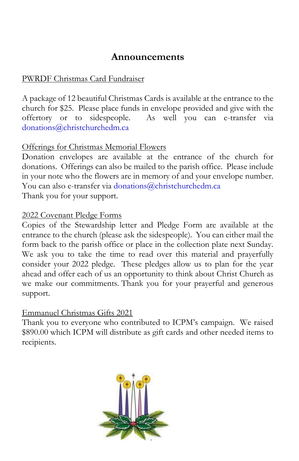# **Announcements**

## PWRDF Christmas Card Fundraiser

A package of 12 beautiful Christmas Cards is available at the entrance to the church for \$25. Please place funds in envelope provided and give with the offertory or to sidespeople. As well you can e-transfer via [donations@christchurchedm.ca](mailto:donations@christchurchedm.ca)

### Offerings for Christmas Memorial Flowers

Donation envelopes are available at the entrance of the church for donations. Offerings can also be mailed to the parish office. Please include in your note who the flowers are in memory of and your envelope number. You can also e-transfer via [donations@christchurchedm.ca](mailto:donations@christchurchedm.ca) Thank you for your support.

#### 2022 Covenant Pledge Forms

Copies of the Stewardship letter and Pledge Form are available at the entrance to the church (please ask the sidespeople). You can either mail the form back to the parish office or place in the collection plate next Sunday. We ask you to take the time to read over this material and prayerfully consider your 2022 pledge. These pledges allow us to plan for the year ahead and offer each of us an opportunity to think about Christ Church as we make our commitments. Thank you for your prayerful and generous support.

#### Emmanuel Christmas Gifts 2021

Thank you to everyone who contributed to ICPM's campaign. We raised \$890.00 which ICPM will distribute as gift cards and other needed items to recipients.